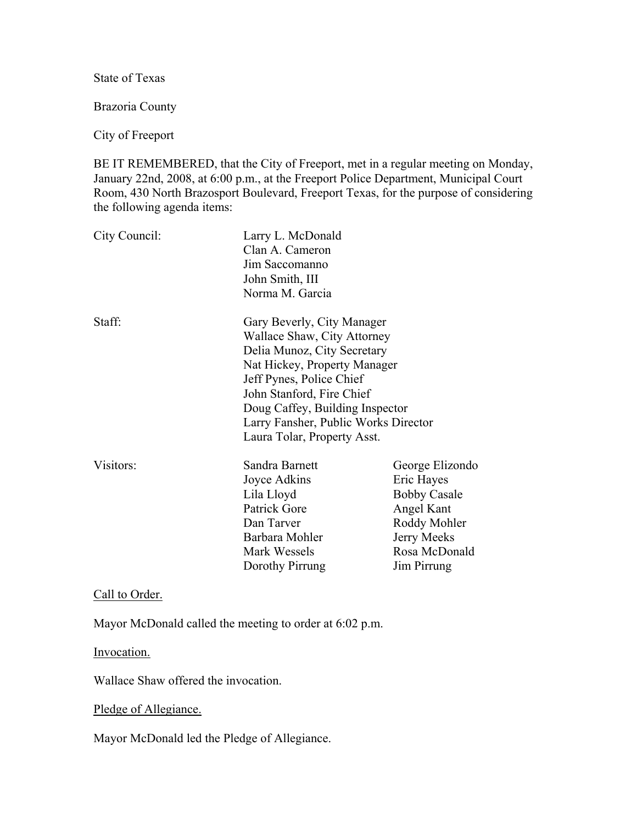State of Texas

Brazoria County

#### City of Freeport

BE IT REMEMBERED, that the City of Freeport, met in a regular meeting on Monday, January 22nd, 2008, at 6:00 p.m., at the Freeport Police Department, Municipal Court Room, 430 North Brazosport Boulevard, Freeport Texas, for the purpose of considering the following agenda items:

| City Council: | Larry L. McDonald<br>Clan A. Cameron<br>Jim Saccomanno<br>John Smith, III<br>Norma M. Garcia                                                                                                                                                                                                |                                                                                                                                   |
|---------------|---------------------------------------------------------------------------------------------------------------------------------------------------------------------------------------------------------------------------------------------------------------------------------------------|-----------------------------------------------------------------------------------------------------------------------------------|
| Staff:        | Gary Beverly, City Manager<br>Wallace Shaw, City Attorney<br>Delia Munoz, City Secretary<br>Nat Hickey, Property Manager<br>Jeff Pynes, Police Chief<br>John Stanford, Fire Chief<br>Doug Caffey, Building Inspector<br>Larry Fansher, Public Works Director<br>Laura Tolar, Property Asst. |                                                                                                                                   |
| Visitors:     | Sandra Barnett<br>Joyce Adkins<br>Lila Lloyd<br>Patrick Gore<br>Dan Tarver<br>Barbara Mohler<br>Mark Wessels<br>Dorothy Pirrung                                                                                                                                                             | George Elizondo<br>Eric Hayes<br><b>Bobby Casale</b><br>Angel Kant<br>Roddy Mohler<br>Jerry Meeks<br>Rosa McDonald<br>Jim Pirrung |

Call to Order.

Mayor McDonald called the meeting to order at 6:02 p.m.

Invocation.

Wallace Shaw offered the invocation.

Pledge of Allegiance.

Mayor McDonald led the Pledge of Allegiance.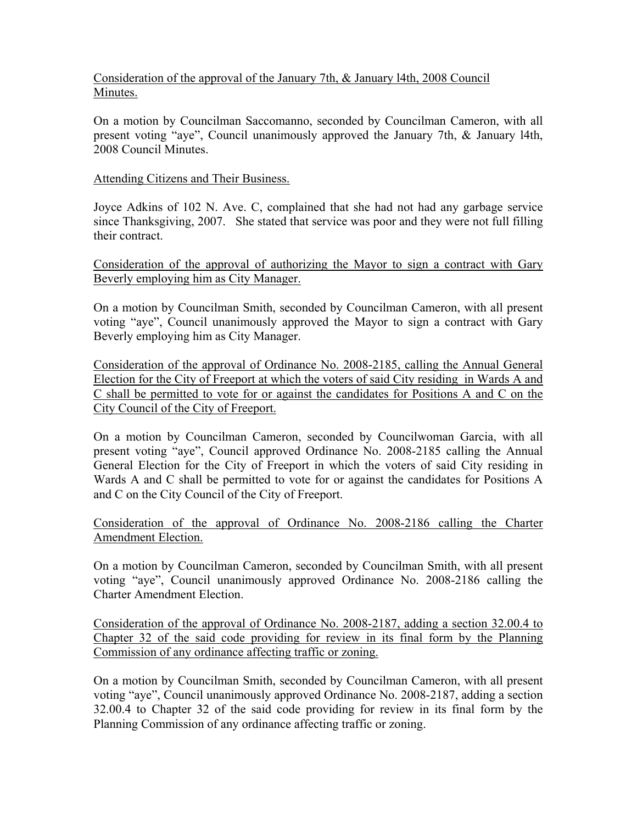# Consideration of the approval of the January 7th, & January l4th, 2008 Council Minutes.

On a motion by Councilman Saccomanno, seconded by Councilman Cameron, with all present voting "aye", Council unanimously approved the January 7th, & January l4th, 2008 Council Minutes.

### Attending Citizens and Their Business.

Joyce Adkins of 102 N. Ave. C, complained that she had not had any garbage service since Thanksgiving, 2007. She stated that service was poor and they were not full filling their contract.

Consideration of the approval of authorizing the Mayor to sign a contract with Gary Beverly employing him as City Manager.

On a motion by Councilman Smith, seconded by Councilman Cameron, with all present voting "aye", Council unanimously approved the Mayor to sign a contract with Gary Beverly employing him as City Manager.

Consideration of the approval of Ordinance No. 2008-2185, calling the Annual General Election for the City of Freeport at which the voters of said City residing in Wards A and C shall be permitted to vote for or against the candidates for Positions A and C on the City Council of the City of Freeport.

On a motion by Councilman Cameron, seconded by Councilwoman Garcia, with all present voting "aye", Council approved Ordinance No. 2008-2185 calling the Annual General Election for the City of Freeport in which the voters of said City residing in Wards A and C shall be permitted to vote for or against the candidates for Positions A and C on the City Council of the City of Freeport.

Consideration of the approval of Ordinance No. 2008-2186 calling the Charter Amendment Election.

On a motion by Councilman Cameron, seconded by Councilman Smith, with all present voting "aye", Council unanimously approved Ordinance No. 2008-2186 calling the Charter Amendment Election.

Consideration of the approval of Ordinance No. 2008-2187, adding a section 32.00.4 to Chapter 32 of the said code providing for review in its final form by the Planning Commission of any ordinance affecting traffic or zoning.

On a motion by Councilman Smith, seconded by Councilman Cameron, with all present voting "aye", Council unanimously approved Ordinance No. 2008-2187, adding a section 32.00.4 to Chapter 32 of the said code providing for review in its final form by the Planning Commission of any ordinance affecting traffic or zoning.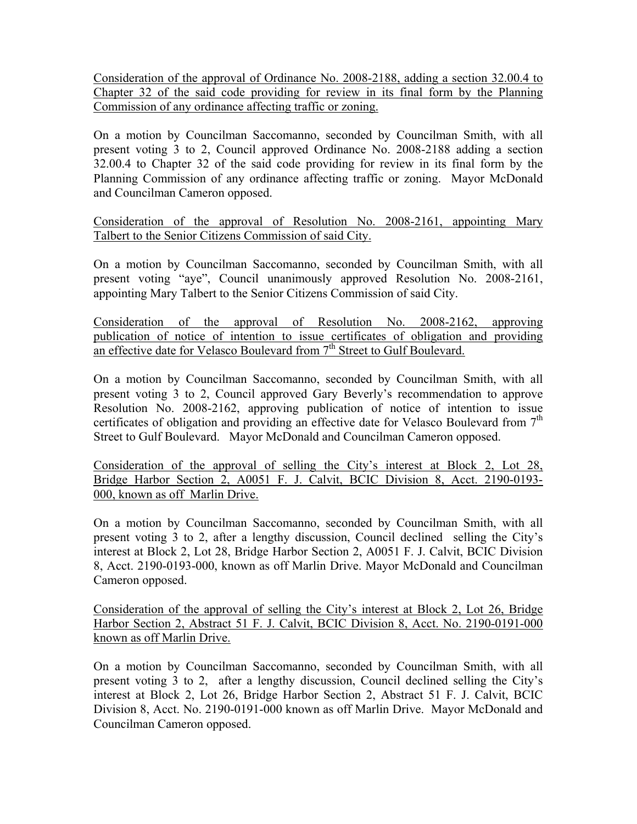Consideration of the approval of Ordinance No. 2008-2188, adding a section 32.00.4 to Chapter 32 of the said code providing for review in its final form by the Planning Commission of any ordinance affecting traffic or zoning.

On a motion by Councilman Saccomanno, seconded by Councilman Smith, with all present voting 3 to 2, Council approved Ordinance No. 2008-2188 adding a section 32.00.4 to Chapter 32 of the said code providing for review in its final form by the Planning Commission of any ordinance affecting traffic or zoning. Mayor McDonald and Councilman Cameron opposed.

Consideration of the approval of Resolution No. 2008-2161, appointing Mary Talbert to the Senior Citizens Commission of said City.

On a motion by Councilman Saccomanno, seconded by Councilman Smith, with all present voting "aye", Council unanimously approved Resolution No. 2008-2161, appointing Mary Talbert to the Senior Citizens Commission of said City.

Consideration of the approval of Resolution No. 2008-2162, approving publication of notice of intention to issue certificates of obligation and providing an effective date for Velasco Boulevard from 7<sup>th</sup> Street to Gulf Boulevard.

On a motion by Councilman Saccomanno, seconded by Councilman Smith, with all present voting 3 to 2, Council approved Gary Beverly's recommendation to approve Resolution No. 2008-2162, approving publication of notice of intention to issue certificates of obligation and providing an effective date for Velasco Boulevard from  $7<sup>th</sup>$ Street to Gulf Boulevard. Mayor McDonald and Councilman Cameron opposed.

Consideration of the approval of selling the City's interest at Block 2, Lot 28, Bridge Harbor Section 2, A0051 F. J. Calvit, BCIC Division 8, Acct. 2190-0193- 000, known as off Marlin Drive.

On a motion by Councilman Saccomanno, seconded by Councilman Smith, with all present voting 3 to 2, after a lengthy discussion, Council declined selling the City's interest at Block 2, Lot 28, Bridge Harbor Section 2, A0051 F. J. Calvit, BCIC Division 8, Acct. 2190-0193-000, known as off Marlin Drive. Mayor McDonald and Councilman Cameron opposed.

Consideration of the approval of selling the City's interest at Block 2, Lot 26, Bridge Harbor Section 2, Abstract 51 F. J. Calvit, BCIC Division 8, Acct. No. 2190-0191-000 known as off Marlin Drive.

On a motion by Councilman Saccomanno, seconded by Councilman Smith, with all present voting 3 to 2, after a lengthy discussion, Council declined selling the City's interest at Block 2, Lot 26, Bridge Harbor Section 2, Abstract 51 F. J. Calvit, BCIC Division 8, Acct. No. 2190-0191-000 known as off Marlin Drive. Mayor McDonald and Councilman Cameron opposed.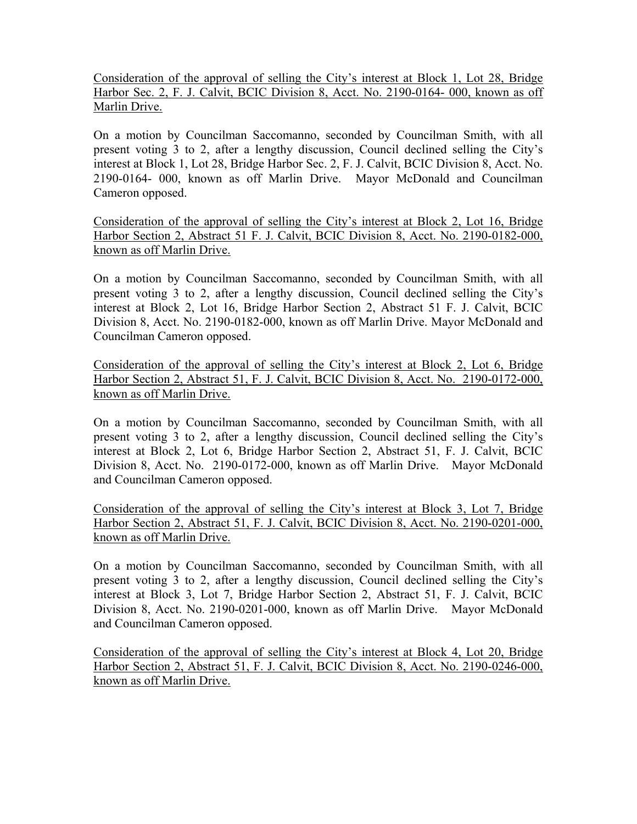Consideration of the approval of selling the City's interest at Block 1, Lot 28, Bridge Harbor Sec. 2, F. J. Calvit, BCIC Division 8, Acct. No. 2190-0164- 000, known as off Marlin Drive.

On a motion by Councilman Saccomanno, seconded by Councilman Smith, with all present voting 3 to 2, after a lengthy discussion, Council declined selling the City's interest at Block 1, Lot 28, Bridge Harbor Sec. 2, F. J. Calvit, BCIC Division 8, Acct. No. 2190-0164- 000, known as off Marlin Drive. Mayor McDonald and Councilman Cameron opposed.

Consideration of the approval of selling the City's interest at Block 2, Lot 16, Bridge Harbor Section 2, Abstract 51 F. J. Calvit, BCIC Division 8, Acct. No. 2190-0182-000, known as off Marlin Drive.

On a motion by Councilman Saccomanno, seconded by Councilman Smith, with all present voting 3 to 2, after a lengthy discussion, Council declined selling the City's interest at Block 2, Lot 16, Bridge Harbor Section 2, Abstract 51 F. J. Calvit, BCIC Division 8, Acct. No. 2190-0182-000, known as off Marlin Drive. Mayor McDonald and Councilman Cameron opposed.

Consideration of the approval of selling the City's interest at Block 2, Lot 6, Bridge Harbor Section 2, Abstract 51, F. J. Calvit, BCIC Division 8, Acct. No. 2190-0172-000, known as off Marlin Drive.

On a motion by Councilman Saccomanno, seconded by Councilman Smith, with all present voting 3 to 2, after a lengthy discussion, Council declined selling the City's interest at Block 2, Lot 6, Bridge Harbor Section 2, Abstract 51, F. J. Calvit, BCIC Division 8, Acct. No. 2190-0172-000, known as off Marlin Drive. Mayor McDonald and Councilman Cameron opposed.

Consideration of the approval of selling the City's interest at Block 3, Lot 7, Bridge Harbor Section 2, Abstract 51, F. J. Calvit, BCIC Division 8, Acct. No. 2190-0201-000, known as off Marlin Drive.

On a motion by Councilman Saccomanno, seconded by Councilman Smith, with all present voting 3 to 2, after a lengthy discussion, Council declined selling the City's interest at Block 3, Lot 7, Bridge Harbor Section 2, Abstract 51, F. J. Calvit, BCIC Division 8, Acct. No. 2190-0201-000, known as off Marlin Drive. Mayor McDonald and Councilman Cameron opposed.

Consideration of the approval of selling the City's interest at Block 4, Lot 20, Bridge Harbor Section 2, Abstract 51, F. J. Calvit, BCIC Division 8, Acct. No. 2190-0246-000, known as off Marlin Drive.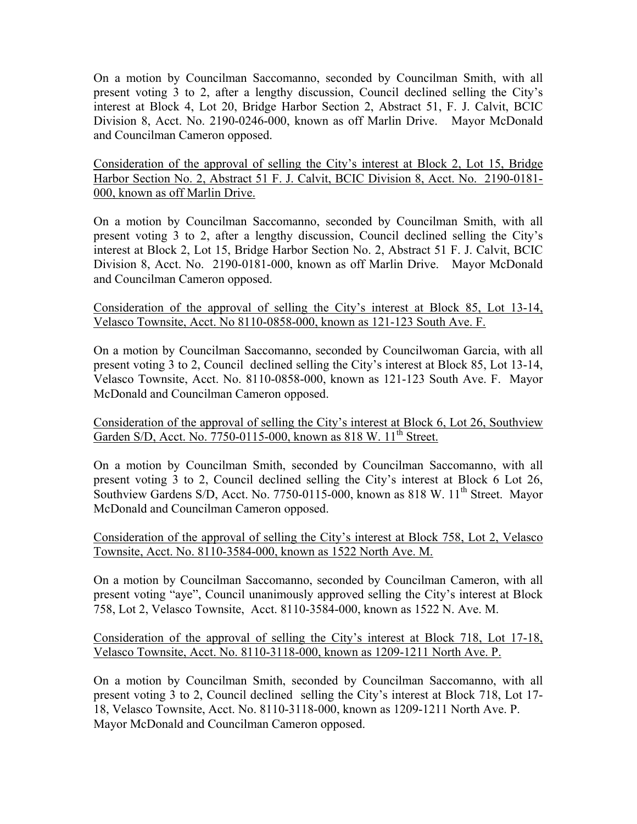On a motion by Councilman Saccomanno, seconded by Councilman Smith, with all present voting 3 to 2, after a lengthy discussion, Council declined selling the City's interest at Block 4, Lot 20, Bridge Harbor Section 2, Abstract 51, F. J. Calvit, BCIC Division 8, Acct. No. 2190-0246-000, known as off Marlin Drive. Mayor McDonald and Councilman Cameron opposed.

Consideration of the approval of selling the City's interest at Block 2, Lot 15, Bridge Harbor Section No. 2, Abstract 51 F. J. Calvit, BCIC Division 8, Acct. No. 2190-0181- 000, known as off Marlin Drive.

On a motion by Councilman Saccomanno, seconded by Councilman Smith, with all present voting 3 to 2, after a lengthy discussion, Council declined selling the City's interest at Block 2, Lot 15, Bridge Harbor Section No. 2, Abstract 51 F. J. Calvit, BCIC Division 8, Acct. No. 2190-0181-000, known as off Marlin Drive. Mayor McDonald and Councilman Cameron opposed.

Consideration of the approval of selling the City's interest at Block 85, Lot 13-14, Velasco Townsite, Acct. No 8110-0858-000, known as 121-123 South Ave. F.

On a motion by Councilman Saccomanno, seconded by Councilwoman Garcia, with all present voting 3 to 2, Council declined selling the City's interest at Block 85, Lot 13-14, Velasco Townsite, Acct. No. 8110-0858-000, known as 121-123 South Ave. F. Mayor McDonald and Councilman Cameron opposed.

Consideration of the approval of selling the City's interest at Block 6, Lot 26, Southview Garden S/D, Acct. No. 7750-0115-000, known as 818 W. 11<sup>th</sup> Street.

On a motion by Councilman Smith, seconded by Councilman Saccomanno, with all present voting 3 to 2, Council declined selling the City's interest at Block 6 Lot 26, Southview Gardens S/D, Acct. No. 7750-0115-000, known as 818 W. 11<sup>th</sup> Street. Mayor McDonald and Councilman Cameron opposed.

Consideration of the approval of selling the City's interest at Block 758, Lot 2, Velasco Townsite, Acct. No. 8110-3584-000, known as 1522 North Ave. M.

On a motion by Councilman Saccomanno, seconded by Councilman Cameron, with all present voting "aye", Council unanimously approved selling the City's interest at Block 758, Lot 2, Velasco Townsite, Acct. 8110-3584-000, known as 1522 N. Ave. M.

Consideration of the approval of selling the City's interest at Block 718, Lot 17-18, Velasco Townsite, Acct. No. 8110-3118-000, known as 1209-1211 North Ave. P.

On a motion by Councilman Smith, seconded by Councilman Saccomanno, with all present voting 3 to 2, Council declined selling the City's interest at Block 718, Lot 17- 18, Velasco Townsite, Acct. No. 8110-3118-000, known as 1209-1211 North Ave. P. Mayor McDonald and Councilman Cameron opposed.